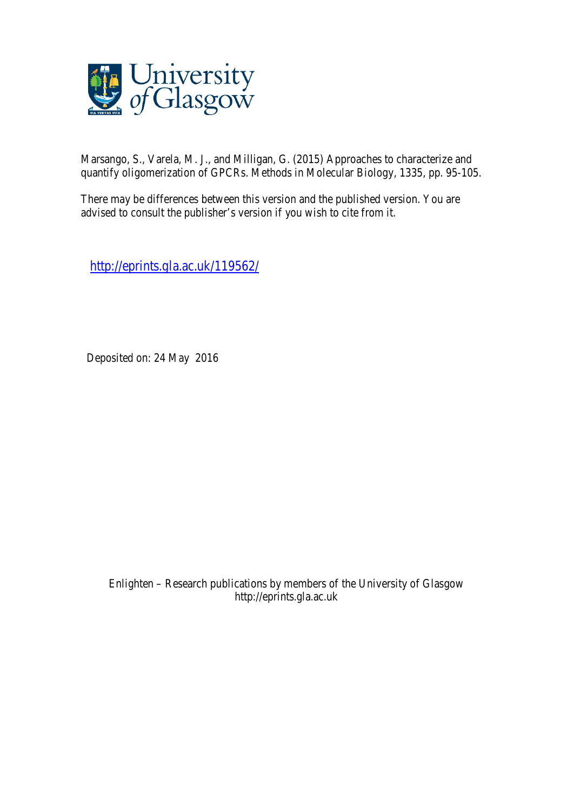

Marsango, S., Varela, M. J., and Milligan, G. (2015) Approaches to characterize and quantify oligomerization of GPCRs. Methods in Molecular Biology, 1335, pp. 95-105.

There may be differences between this version and the published version. You are advised to consult the publisher's version if you wish to cite from it.

http://eprints.gla.ac.uk/119562/

Deposited on: 24 May 2016

Enlighten – Research publications by members of the University of Glasgow http://eprints.gla.ac.uk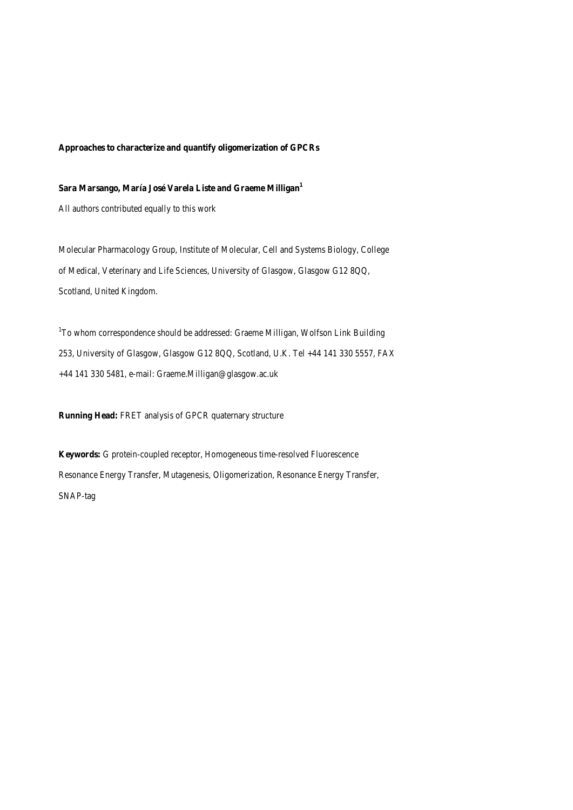## **Approaches to characterize and quantify oligomerization of GPCRs**

# **Sara Marsango, María José Varela Liste and Graeme Milligan1**

All authors contributed equally to this work

Molecular Pharmacology Group, Institute of Molecular, Cell and Systems Biology, College of Medical, Veterinary and Life Sciences, University of Glasgow, Glasgow G12 8QQ, Scotland, United Kingdom.

<sup>1</sup>To whom correspondence should be addressed: Graeme Milligan, Wolfson Link Building 253, University of Glasgow, Glasgow G12 8QQ, Scotland, U.K. Tel +44 141 330 5557, FAX +44 141 330 5481, e-mail: Graeme.Milligan@glasgow.ac.uk

**Running Head:** FRET analysis of GPCR quaternary structure

**Keywords:** G protein-coupled receptor, Homogeneous time-resolved Fluorescence Resonance Energy Transfer, Mutagenesis, Oligomerization, Resonance Energy Transfer, SNAP-tag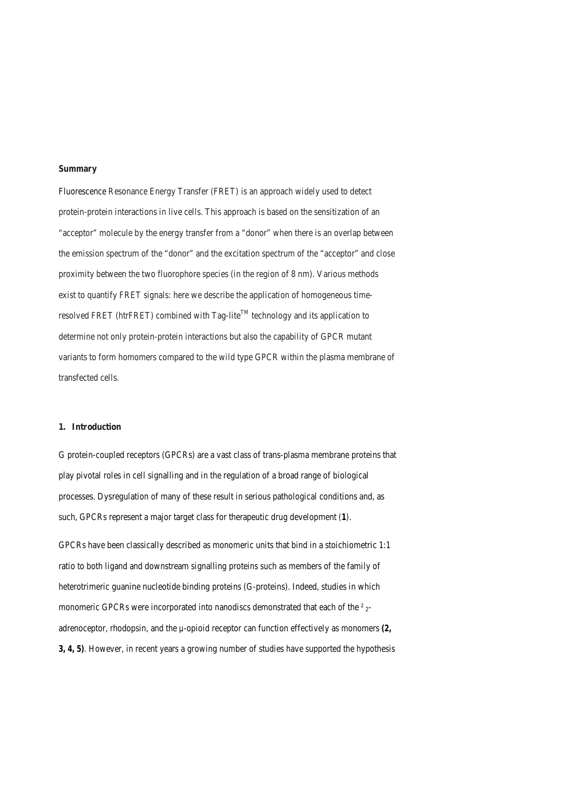#### **Summary**

Fluorescence Resonance Energy Transfer (FRET) is an approach widely used to detect protein-protein interactions in live cells. This approach is based on the sensitization of an "acceptor" molecule by the energy transfer from a "donor" when there is an overlap between the emission spectrum of the "donor" and the excitation spectrum of the "acceptor" and close proximity between the two fluorophore species (in the region of 8 nm). Various methods exist to quantify FRET signals: here we describe the application of homogeneous timeresolved FRET (htrFRET) combined with Tag-lite<sup>TM</sup> technology and its application to determine not only protein-protein interactions but also the capability of GPCR mutant variants to form homomers compared to the wild type GPCR within the plasma membrane of transfected cells.

## **1. Introduction**

G protein-coupled receptors (GPCRs) are a vast class of trans-plasma membrane proteins that play pivotal roles in cell signalling and in the regulation of a broad range of biological processes. Dysregulation of many of these result in serious pathological conditions and, as such, GPCRs represent a major target class for therapeutic drug development *(1)*.

GPCRs have been classically described as monomeric units that bind in a stoichiometric 1:1 ratio to both ligand and downstream signalling proteins such as members of the family of heterotrimeric guanine nucleotide binding proteins (G-proteins). Indeed, studies in which monomeric GPCRs were incorporated into nanodiscs demonstrated that each of the <sup>2</sup><sub>2</sub>adrenoceptor, rhodopsin, and the *µ*-opioid receptor can function effectively as monomers *(2, 3, 4, 5).* However, in recent years a growing number of studies have supported the hypothesis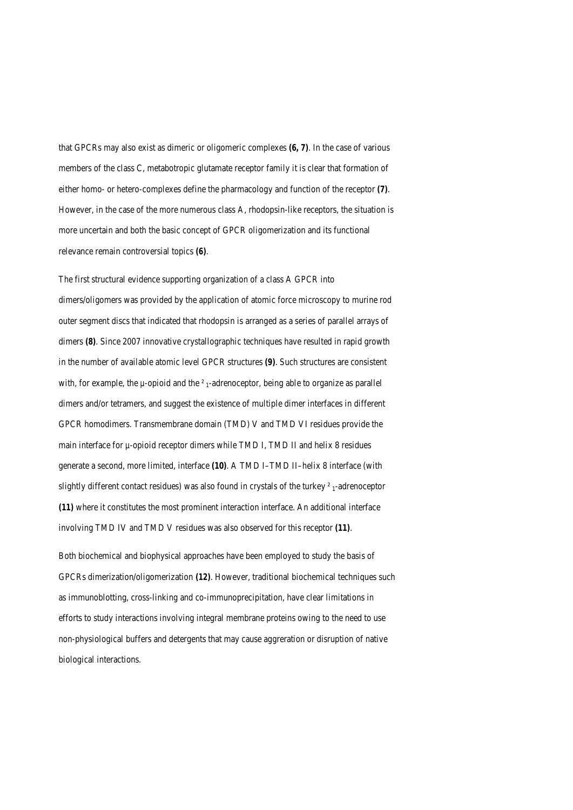that GPCRs may also exist as dimeric or oligomeric complexes *(6, 7)*. In the case of various members of the class C, metabotropic glutamate receptor family it is clear that formation of either homo- or hetero-complexes define the pharmacology and function of the receptor *(7)*. However, in the case of the more numerous class A, rhodopsin-like receptors, the situation is more uncertain and both the basic concept of GPCR oligomerization and its functional relevance remain controversial topics *(6)*.

The first structural evidence supporting organization of a class A GPCR into dimers/oligomers was provided by the application of atomic force microscopy to murine rod outer segment discs that indicated that rhodopsin is arranged as a series of parallel arrays of dimers (8). Since 2007 innovative crystallographic techniques have resulted in rapid growth in the number of available atomic level GPCR structures *(9)*. Such structures are consistent with, for example, the  $\mu$ -opioid and the  $\ell$ <sub>1</sub>-adrenoceptor, being able to organize as parallel dimers and/or tetramers, and suggest the existence of multiple dimer interfaces in different GPCR homodimers. Transmembrane domain (TMD) V and TMD VI residues provide the main interface for  $\mu$ -opioid receptor dimers while TMD I, TMD II and helix 8 residues generate a second, more limited, interface *(10)*. A TMD I–TMD II–helix 8 interface (with slightly different contact residues) was also found in crystals of the turkey *²* 1-adrenoceptor *(11)* where it constitutes the most prominent interaction interface. An additional interface involving TMD IV and TMD V residues was also observed for this receptor *(11)*.

Both biochemical and biophysical approaches have been employed to study the basis of GPCRs dimerization/oligomerization *(12)*. However, traditional biochemical techniques such as immunoblotting, cross-linking and co-immunoprecipitation, have clear limitations in efforts to study interactions involving integral membrane proteins owing to the need to use non-physiological buffers and detergents that may cause aggreration or disruption of native biological interactions.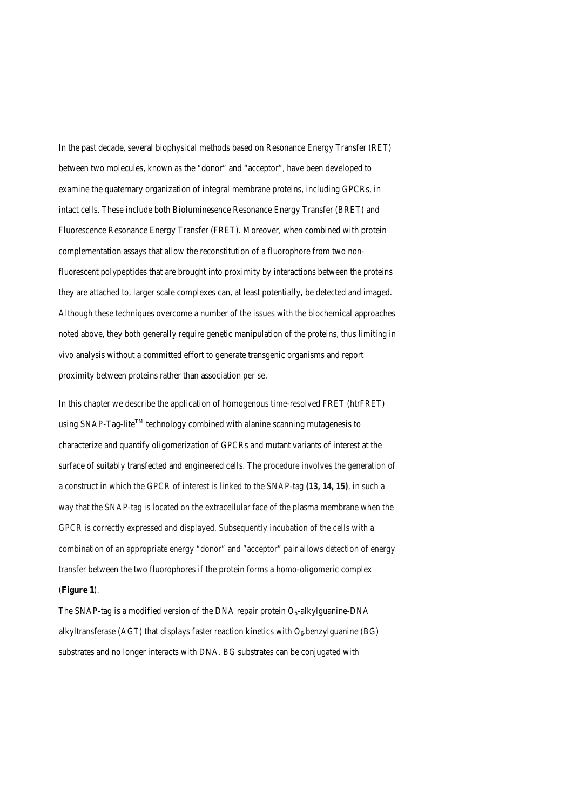In the past decade, several biophysical methods based on Resonance Energy Transfer (RET) between two molecules, known as the "donor" and "acceptor", have been developed to examine the quaternary organization of integral membrane proteins, including GPCRs, in intact cells. These include both Bioluminesence Resonance Energy Transfer (BRET) and Fluorescence Resonance Energy Transfer (FRET). Moreover, when combined with protein complementation assays that allow the reconstitution of a fluorophore from two nonfluorescent polypeptides that are brought into proximity by interactions between the proteins they are attached to, larger scale complexes can, at least potentially, be detected and imaged. Although these techniques overcome a number of the issues with the biochemical approaches noted above, they both generally require genetic manipulation of the proteins, thus limiting *in vivo* analysis without a committed effort to generate transgenic organisms and report proximity between proteins rather than association *per se*.

In this chapter we describe the application of homogenous time-resolved FRET (htrFRET) using SNAP-Tag-lite<sup>TM</sup> technology combined with alanine scanning mutagenesis to characterize and quantify oligomerization of GPCRs and mutant variants of interest at the surface of suitably transfected and engineered cells. The procedure involves the generation of a construct in which the GPCR of interest is linked to the SNAP-tag *(13, 14, 15)*, in such a way that the SNAP-tag is located on the extracellular face of the plasma membrane when the GPCR is correctly expressed and displayed. Subsequently incubation of the cells with a combination of an appropriate energy "donor" and "acceptor" pair allows detection of energy transfer between the two fluorophores if the protein forms a homo-oligomeric complex (**Figure 1**).

The SNAP-tag is a modified version of the DNA repair protein  $O_6$ -alkylguanine-DNA alkyltransferase (AGT) that displays faster reaction kinetics with  $O_6$ -benzylguanine (BG) substrates and no longer interacts with DNA. BG substrates can be conjugated with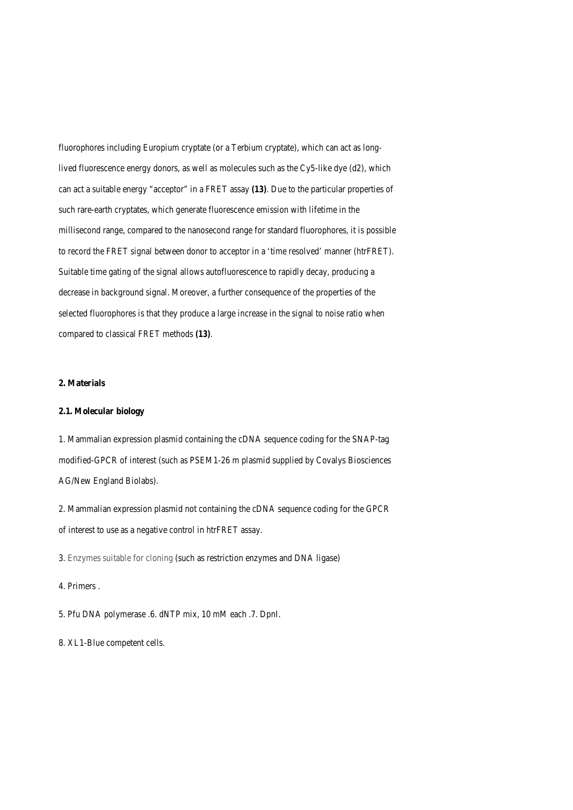fluorophores including Europium cryptate (or a Terbium cryptate), which can act as longlived fluorescence energy donors, as well as molecules such as the Cy5-like dye (d2), which can act a suitable energy "acceptor" in a FRET assay *(13)*. Due to the particular properties of such rare-earth cryptates, which generate fluorescence emission with lifetime in the millisecond range, compared to the nanosecond range for standard fluorophores, it is possible to record the FRET signal between donor to acceptor in a 'time resolved' manner (htrFRET). Suitable time gating of the signal allows autofluorescence to rapidly decay, producing a decrease in background signal. Moreover, a further consequence of the properties of the selected fluorophores is that they produce a large increase in the signal to noise ratio when compared to classical FRET methods *(13)*.

# **2. Materials**

#### **2.1. Molecular biology**

1. Mammalian expression plasmid containing the cDNA sequence coding for the SNAP-tag modified-GPCR of interest (such as PSEM1-26 m plasmid supplied by Covalys Biosciences AG/New England Biolabs).

2. Mammalian expression plasmid not containing the cDNA sequence coding for the GPCR of interest to use as a negative control in htrFRET assay.

3. Enzymes suitable for cloning (such as restriction enzymes and DNA ligase)

# 4. Primers .

5. Pfu DNA polymerase .6. dNTP mix, 10 mM each .7. DpnI.

8. XL1-Blue competent cells.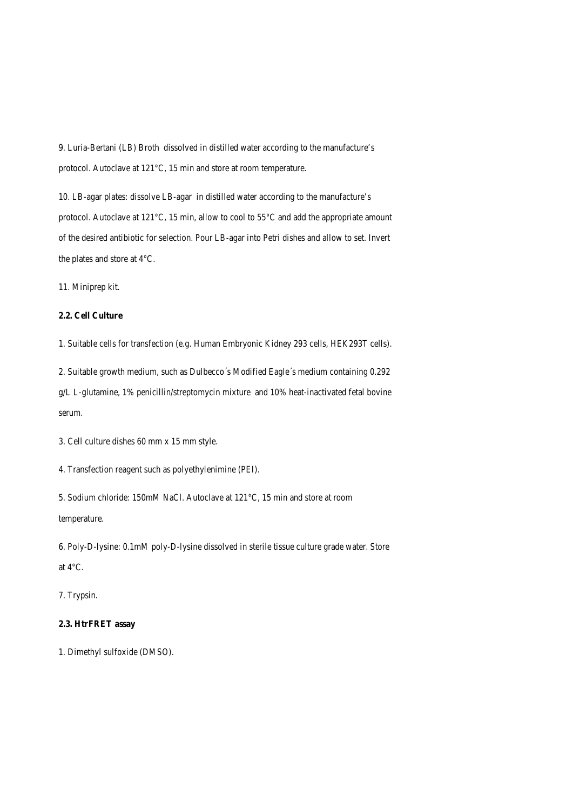9. Luria-Bertani (LB) Broth dissolved in distilled water according to the manufacture's protocol. Autoclave at 121°C, 15 min and store at room temperature.

10. LB-agar plates: dissolve LB-agar in distilled water according to the manufacture's protocol. Autoclave at 121°C, 15 min, allow to cool to 55°C and add the appropriate amount of the desired antibiotic for selection. Pour LB-agar into Petri dishes and allow to set. Invert the plates and store at 4°C.

11. Miniprep kit.

# **2.2. Cell Culture**

1. Suitable cells for transfection (e.g. Human Embryonic Kidney 293 cells, HEK293T cells).

2. Suitable growth medium, such as Dulbecco´s Modified Eagle´s medium containing 0.292

g/L L-glutamine, 1% penicillin/streptomycin mixture and 10% heat-inactivated fetal bovine serum.

3. Cell culture dishes 60 mm x 15 mm style.

4. Transfection reagent such as polyethylenimine (PEI).

5. Sodium chloride: 150mM NaCl. Autoclave at 121°C, 15 min and store at room temperature.

6. Poly-D-lysine: 0.1mM poly-D-lysine dissolved in sterile tissue culture grade water. Store at 4°C.

7. Trypsin.

#### **2.3. HtrFRET assay**

1. Dimethyl sulfoxide (DMSO).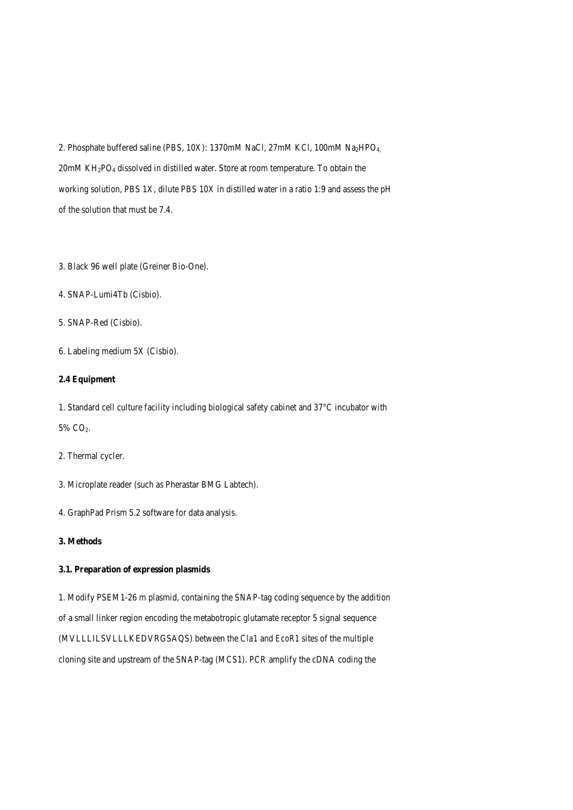2. Phosphate buffered saline (PBS, 10X): 1370mM NaCl, 27mM KCl, 100mM Na<sub>2</sub>HPO<sub>4</sub>, 20mM KH2PO4 dissolved in distilled water. Store at room temperature. To obtain the working solution, PBS 1X, dilute PBS 10X in distilled water in a ratio 1:9 and assess the pH of the solution that must be 7.4.

- 3. Black 96 well plate (Greiner Bio-One).
- 4. SNAP-Lumi4Tb (Cisbio).
- 5. SNAP-Red (Cisbio).
- 6. Labeling medium 5X (Cisbio).

# **2.4 Equipment**

1. Standard cell culture facility including biological safety cabinet and 37°C incubator with 5% CO2.

2. Thermal cycler.

- 3. Microplate reader (such as Pherastar BMG Labtech).
- 4. GraphPad Prism 5.2 software for data analysis.
- **3. Methods**

# **3.1. Preparation of expression plasmids**

1. Modify PSEM1-26 m plasmid, containing the SNAP-tag coding sequence by the addition of a small linker region encoding the metabotropic glutamate receptor 5 signal sequence (MVLLLILSVLLLKEDVRGSAQS) between the *Cla1* and *EcoR1* sites of the multiple cloning site and upstream of the SNAP-tag (MCS1). PCR amplify the cDNA coding the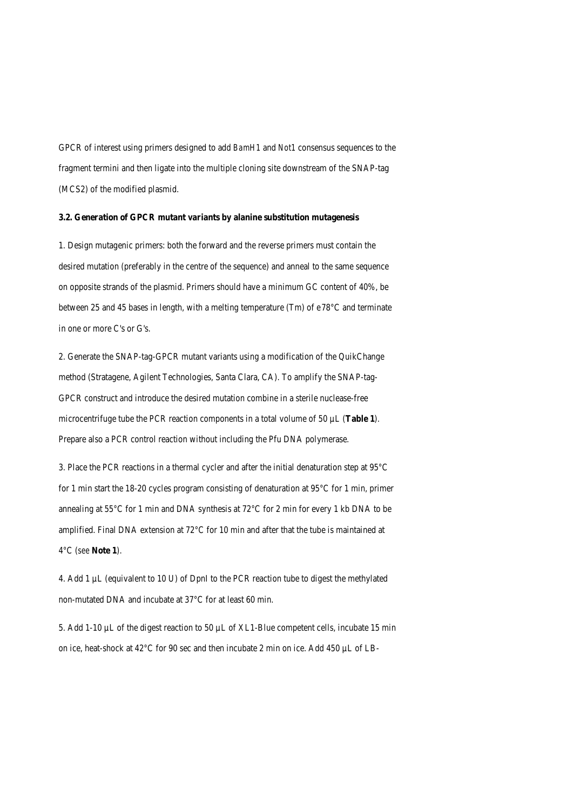GPCR of interest using primers designed to add *BamH1* and *Not1* consensus sequences to the fragment termini and then ligate into the multiple cloning site downstream of the SNAP-tag (MCS2) of the modified plasmid.

#### **3.2. Generation of GPCR mutant variants by alanine substitution mutagenesis**

1. Design mutagenic primers: both the forward and the reverse primers must contain the desired mutation (preferably in the centre of the sequence) and anneal to the same sequence on opposite strands of the plasmid. Primers should have a minimum GC content of 40%, be between 25 and 45 bases in length, with a melting temperature (Tm) of e78°C and terminate in one or more C's or G's.

2. Generate the SNAP-tag-GPCR mutant variants using a modification of the QuikChange method (Stratagene, Agilent Technologies, Santa Clara, CA). To amplify the SNAP-tag-GPCR construct and introduce the desired mutation combine in a sterile nuclease-free microcentrifuge tube the PCR reaction components in a total volume of 50 µL (**Table 1**). Prepare also a PCR control reaction without including the Pfu DNA polymerase.

3. Place the PCR reactions in a thermal cycler and after the initial denaturation step at 95°C for 1 min start the 18-20 cycles program consisting of denaturation at 95°C for 1 min, primer annealing at 55°C for 1 min and DNA synthesis at 72°C for 2 min for every 1 kb DNA to be amplified. Final DNA extension at 72°C for 10 min and after that the tube is maintained at 4°C (*see* **Note 1**).

4. Add 1 µL (equivalent to 10 U) of DpnI to the PCR reaction tube to digest the methylated non-mutated DNA and incubate at 37°C for at least 60 min.

5. Add 1-10 µL of the digest reaction to 50 µL of XL1-Blue competent cells, incubate 15 min on ice, heat-shock at 42°C for 90 sec and then incubate 2 min on ice. Add 450 µL of LB-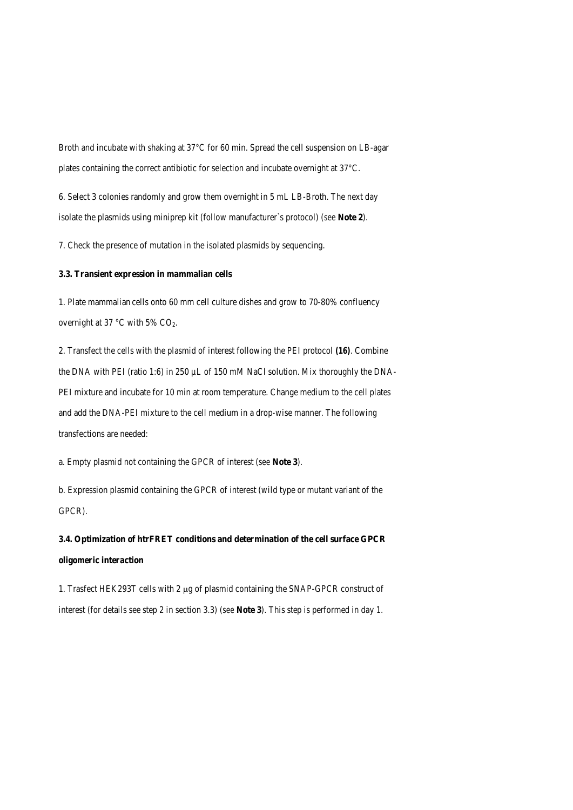Broth and incubate with shaking at 37°C for 60 min. Spread the cell suspension on LB-agar plates containing the correct antibiotic for selection and incubate overnight at 37°C.

6. Select 3 colonies randomly and grow them overnight in 5 mL LB-Broth. The next day isolate the plasmids using miniprep kit (follow manufacturer`s protocol) (*see* **Note 2**).

7. Check the presence of mutation in the isolated plasmids by sequencing.

# **3.3. Transient expression in mammalian cells**

1. Plate mammalian cells onto 60 mm cell culture dishes and grow to 70-80% confluency overnight at 37  $\mathrm{^{\circ}C}$  with 5% CO<sub>2</sub>.

2. Transfect the cells with the plasmid of interest following the PEI protocol *(16)*. Combine the DNA with PEI (ratio 1:6) in 250 µL of 150 mM NaCl solution. Mix thoroughly the DNA-PEI mixture and incubate for 10 min at room temperature. Change medium to the cell plates and add the DNA-PEI mixture to the cell medium in a drop-wise manner. The following transfections are needed:

a. Empty plasmid not containing the GPCR of interest (*see* **Note 3**).

b. Expression plasmid containing the GPCR of interest (wild type or mutant variant of the GPCR).

**3.4. Optimization of htrFRET conditions and determination of the cell surface GPCR oligomeric interaction**

1. Trasfect HEK293T cells with 2 µg of plasmid containing the SNAP-GPCR construct of interest (for details see step 2 in section 3.3) (*see* **Note 3**). This step is performed in day 1.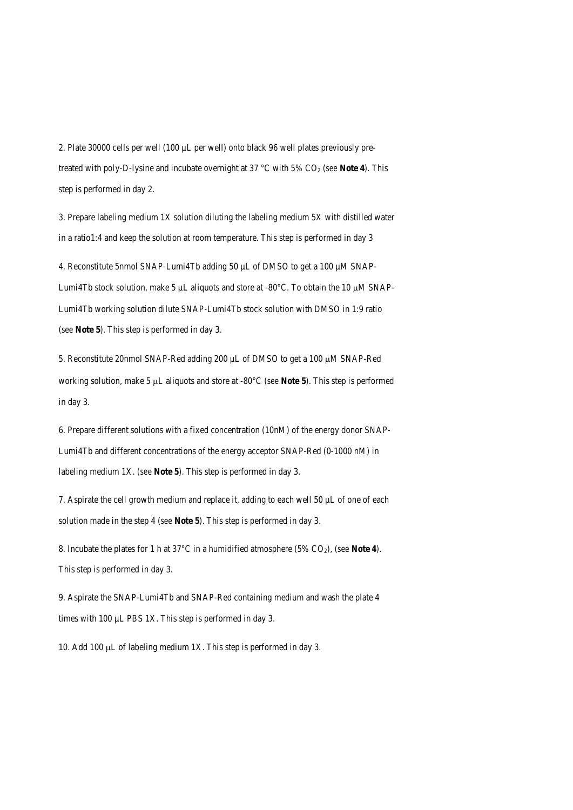2. Plate 30000 cells per well (100 µL per well) onto black 96 well plates previously pretreated with poly-D-lysine and incubate overnight at 37 °C with 5% CO<sub>2</sub> (*see* Note 4). This step is performed in day 2.

3. Prepare labeling medium 1X solution diluting the labeling medium 5X with distilled water in a ratio1:4 and keep the solution at room temperature. This step is performed in day 3

4. Reconstitute 5nmol SNAP-Lumi4Tb adding 50 µL of DMSO to get a 100 µM SNAP-Lumi4Tb stock solution, make 5  $\mu$ L aliquots and store at -80 $\degree$ C. To obtain the 10  $\mu$ M SNAP-Lumi4Tb working solution dilute SNAP-Lumi4Tb stock solution with DMSO in 1:9 ratio (*see* **Note 5**). This step is performed in day 3.

5. Reconstitute 20nmol SNAP-Red adding 200 µL of DMSO to get a 100 µM SNAP-Red working solution, make 5 µL aliquots and store at -80°C (*see* **Note 5**). This step is performed in day 3.

6. Prepare different solutions with a fixed concentration (10nM) of the energy donor SNAP-Lumi4Tb and different concentrations of the energy acceptor SNAP-Red (0-1000 nM) in labeling medium 1X. (*see* **Note 5**). This step is performed in day 3.

7. Aspirate the cell growth medium and replace it, adding to each well 50 µL of one of each solution made in the step 4 (*see* **Note 5**). This step is performed in day 3.

8. Incubate the plates for 1 h at 37°C in a humidified atmosphere (5% CO2), (*see* **Note 4**). This step is performed in day 3.

9. Aspirate the SNAP-Lumi4Tb and SNAP-Red containing medium and wash the plate 4 times with 100 µL PBS 1X. This step is performed in day 3.

10. Add 100  $\mu$ L of labeling medium 1X. This step is performed in day 3.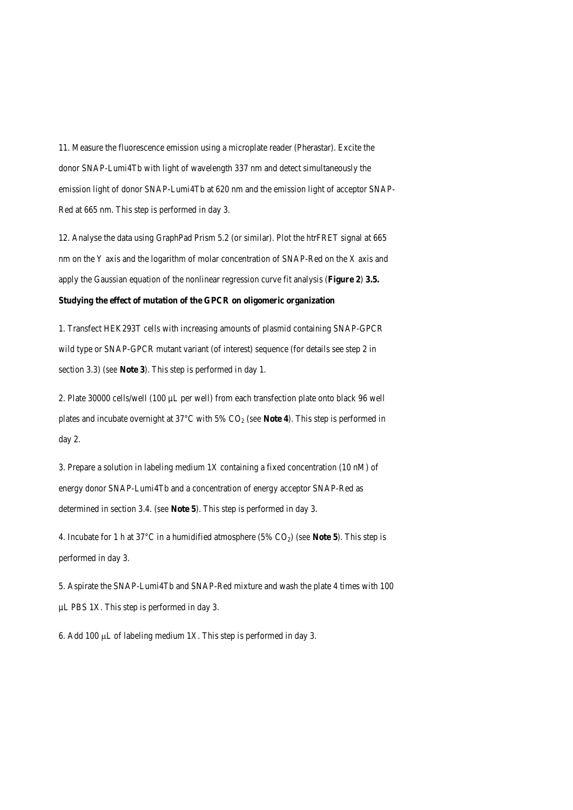11. Measure the fluorescence emission using a microplate reader (Pherastar). Excite the donor SNAP-Lumi4Tb with light of wavelength 337 nm and detect simultaneously the emission light of donor SNAP-Lumi4Tb at 620 nm and the emission light of acceptor SNAP-Red at 665 nm. This step is performed in day 3.

12. Analyse the data using GraphPad Prism 5.2 (or similar). Plot the htrFRET signal at 665 nm on the Y axis and the logarithm of molar concentration of SNAP-Red on the X axis and apply the Gaussian equation of the nonlinear regression curve fit analysis (**Figure 2**) **3.5.** 

# **Studying the effect of mutation of the GPCR on oligomeric organization**

1. Transfect HEK293T cells with increasing amounts of plasmid containing SNAP-GPCR wild type or SNAP-GPCR mutant variant (of interest) sequence (for details see step 2 in section 3.3) (*see* **Note 3**). This step is performed in day 1.

2. Plate 30000 cells/well (100 µL per well) from each transfection plate onto black 96 well plates and incubate overnight at 37°C with 5% CO2 (*see* **Note 4**). This step is performed in day 2.

3. Prepare a solution in labeling medium 1X containing a fixed concentration (10 nM) of energy donor SNAP-Lumi4Tb and a concentration of energy acceptor SNAP-Red as determined in section 3.4. (*see* **Note 5**). This step is performed in day 3.

4. Incubate for 1 h at 37°C in a humidified atmosphere (5% CO2) (*see* **Note 5**). This step is performed in day 3.

5. Aspirate the SNAP-Lumi4Tb and SNAP-Red mixture and wash the plate 4 times with 100 µL PBS 1X. This step is performed in day 3.

6. Add 100 µL of labeling medium 1X. This step is performed in day 3.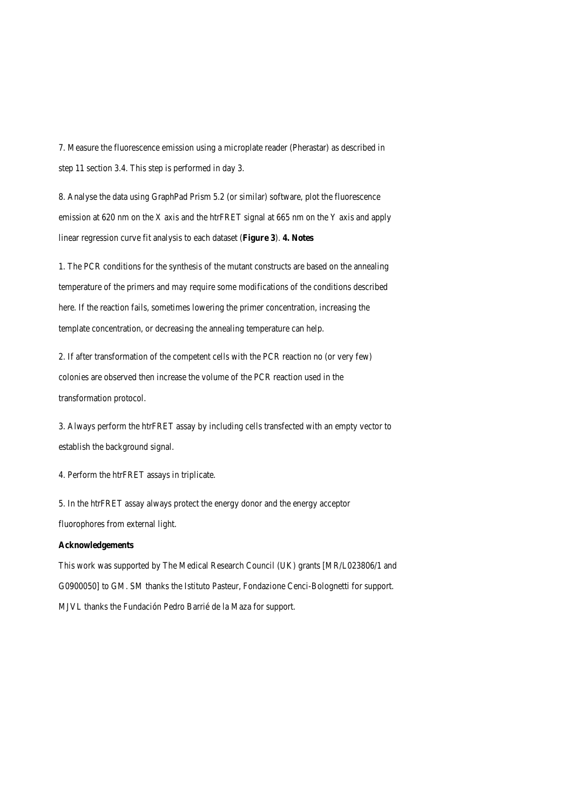7. Measure the fluorescence emission using a microplate reader (Pherastar) as described in step 11 section 3.4. This step is performed in day 3.

8. Analyse the data using GraphPad Prism 5.2 (or similar) software, plot the fluorescence emission at 620 nm on the X axis and the htrFRET signal at 665 nm on the Y axis and apply linear regression curve fit analysis to each dataset (**Figure 3**). **4. Notes**

1. The PCR conditions for the synthesis of the mutant constructs are based on the annealing temperature of the primers and may require some modifications of the conditions described here. If the reaction fails, sometimes lowering the primer concentration, increasing the template concentration, or decreasing the annealing temperature can help.

2. If after transformation of the competent cells with the PCR reaction no (or very few) colonies are observed then increase the volume of the PCR reaction used in the transformation protocol.

3. Always perform the htrFRET assay by including cells transfected with an empty vector to establish the background signal.

4. Perform the htrFRET assays in triplicate.

5. In the htrFRET assay always protect the energy donor and the energy acceptor fluorophores from external light.

## **Acknowledgements**

This work was supported by The Medical Research Council (UK) grants [MR/L023806/1 and G0900050] to GM. SM thanks the Istituto Pasteur, Fondazione Cenci-Bolognetti for support. MJVL thanks the Fundación Pedro Barrié de la Maza for support.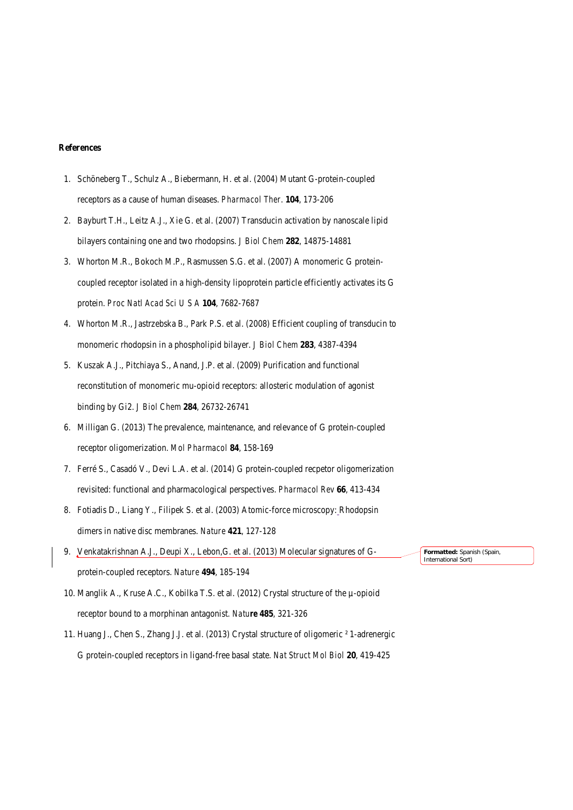#### **References**

- 1. Schöneberg T., Schulz A., Biebermann, H. et al. (2004) Mutant G-protein-coupled receptors as a cause of human diseases. *Pharmacol Ther*. **104**, 173-206
- 2. Bayburt T.H., Leitz A.J., Xie G. et al. (2007) Transducin activation by nanoscale lipid bilayers containing one and two rhodopsins. *J Biol Chem* **282**, 14875-14881
- 3. Whorton M.R., Bokoch M.P., Rasmussen S.G. et al. (2007) A monomeric G proteincoupled receptor isolated in a high-density lipoprotein particle efficiently activates its G protein. *Proc Natl Acad Sci U S A* **104**, 7682-7687
- 4. Whorton M.R., Jastrzebska B., Park P.S. et al. (2008) Efficient coupling of transducin to monomeric rhodopsin in a phospholipid bilayer. *J Biol Chem* **283**, 4387-4394
- 5. Kuszak A.J., Pitchiaya S., Anand, J.P. et al. (2009) Purification and functional reconstitution of monomeric mu-opioid receptors: allosteric modulation of agonist binding by Gi2. *J Biol Chem* **284**, 26732-26741
- 6. Milligan G. (2013) The prevalence, maintenance, and relevance of G protein-coupled receptor oligomerization. *Mol Pharmacol* **84**, 158-169
- 7. Ferré S., Casadó V., Devi L.A. et al. (2014) G protein-coupled recpetor oligomerization revisited: functional and pharmacological perspectives. *Pharmacol Rev* **66**, 413-434
- 8. Fotiadis D., Liang Y., Filipek S. et al. (2003) Atomic-force microscopy: Rhodopsin dimers in native disc membranes. *Nature* **421**, 127-128
- 9. Venkatakrishnan A.J., Deupi X., Lebon,G. et al. (2013) Molecular signatures of Gprotein-coupled receptors. *Nature* **494**, 185-194
- 10. Manglik A., Kruse A.C., Kobilka T.S. et al. (2012) Crystal structure of the µ-opioid receptor bound to a morphinan antagonist*. Nature* **485**, 321-326
- 11. Huang J., Chen S., Zhang J.J. et al. (2013) Crystal structure of oligomeric ² 1-adrenergic G protein-coupled receptors in ligand-free basal state. *Nat Struct Mol Biol* **20**, 419-425

**Formatted:** Spanish (Spain, International Sort)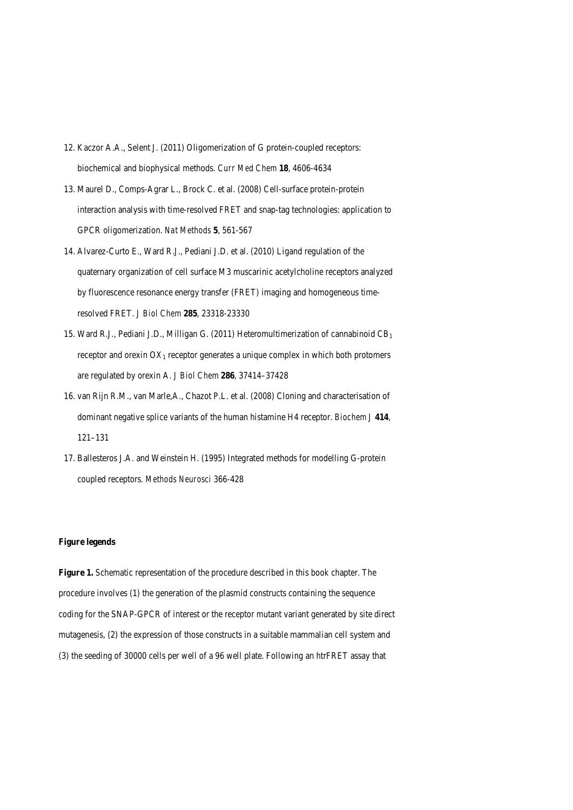- 12. Kaczor A.A., Selent J. (2011) Oligomerization of G protein-coupled receptors: biochemical and biophysical methods. *Curr Med Chem* **18**, 4606-4634
- 13. Maurel D., Comps-Agrar L., Brock C. et al. (2008) Cell-surface protein-protein interaction analysis with time-resolved FRET and snap-tag technologies: application to GPCR oligomerization. *Nat Methods* **5**, 561-567
- 14. Alvarez-Curto E., Ward R.J., Pediani J.D. et al. (2010) Ligand regulation of the quaternary organization of cell surface M3 muscarinic acetylcholine receptors analyzed by fluorescence resonance energy transfer (FRET) imaging and homogeneous timeresolved FRET. *J Biol Chem* **285**, 23318-23330
- 15. Ward R.J., Pediani J.D., Milligan G. (2011) Heteromultimerization of cannabinoid  $CB<sub>1</sub>$ receptor and orexin  $OX_1$  receptor generates a unique complex in which both protomers are regulated by orexin A. *J Biol Chem* **286**, 37414–37428
- 16. van Rijn R.M., van Marle,A., Chazot P.L. et al. (2008) Cloning and characterisation of dominant negative splice variants of the human histamine H4 receptor. *Biochem J* **414**, 121–131
- 17. Ballesteros J.A. and Weinstein H. (1995) Integrated methods for modelling G-protein coupled receptors. *Methods Neurosci* 366-428

# **Figure legends**

**Figure 1.** Schematic representation of the procedure described in this book chapter. The procedure involves (1) the generation of the plasmid constructs containing the sequence coding for the SNAP-GPCR of interest or the receptor mutant variant generated by site direct mutagenesis, (2) the expression of those constructs in a suitable mammalian cell system and (3) the seeding of 30000 cells per well of a 96 well plate. Following an htrFRET assay that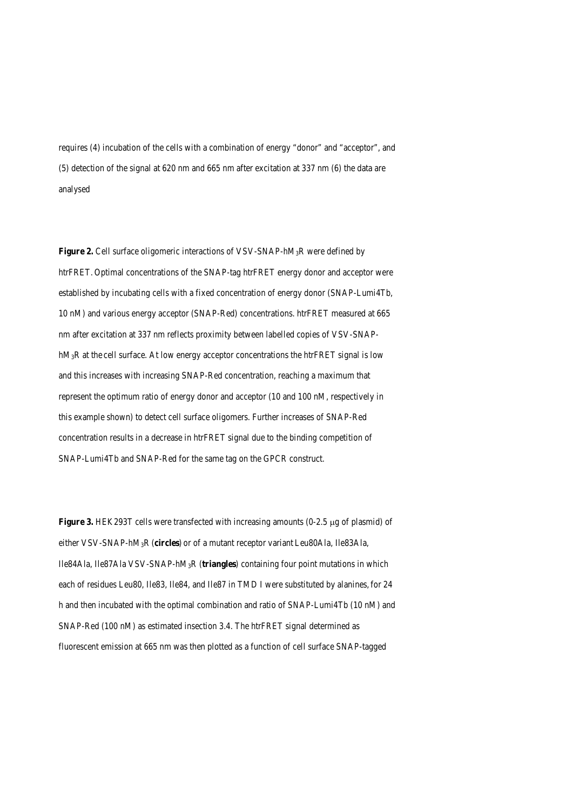requires (4) incubation of the cells with a combination of energy "donor" and "acceptor", and (5) detection of the signal at 620 nm and 665 nm after excitation at 337 nm (6) the data are analysed

**Figure 2.** Cell surface oligomeric interactions of VSV-SNAP-hM<sub>3</sub>R were defined by htrFRET. Optimal concentrations of the SNAP-tag htrFRET energy donor and acceptor were established by incubating cells with a fixed concentration of energy donor (SNAP-Lumi4Tb, 10 nM) and various energy acceptor (SNAP-Red) concentrations. htrFRET measured at 665 nm after excitation at 337 nm reflects proximity between labelled copies of VSV-SNAP $hM_3R$  at the cell surface. At low energy acceptor concentrations the htrFRET signal is low and this increases with increasing SNAP-Red concentration, reaching a maximum that represent the optimum ratio of energy donor and acceptor (10 and 100 nM, respectively in this example shown) to detect cell surface oligomers. Further increases of SNAP-Red concentration results in a decrease in htrFRET signal due to the binding competition of SNAP-Lumi4Tb and SNAP-Red for the same tag on the GPCR construct.

**Figure 3.** HEK293T cells were transfected with increasing amounts (0-2.5 µg of plasmid) of either VSV-SNAP-hM3R (**circles**) or of a mutant receptor variant Leu80Ala, Ile83Ala, Ile84Ala, Ile87Ala VSV-SNAP-hM3R (**triangles**) containing four point mutations in which each of residues Leu80, Ile83, Ile84, and Ile87 in TMD I were substituted by alanines, for 24 h and then incubated with the optimal combination and ratio of SNAP-Lumi4Tb (10 nM) and SNAP-Red (100 nM) as estimated insection 3.4. The htrFRET signal determined as fluorescent emission at 665 nm was then plotted as a function of cell surface SNAP-tagged